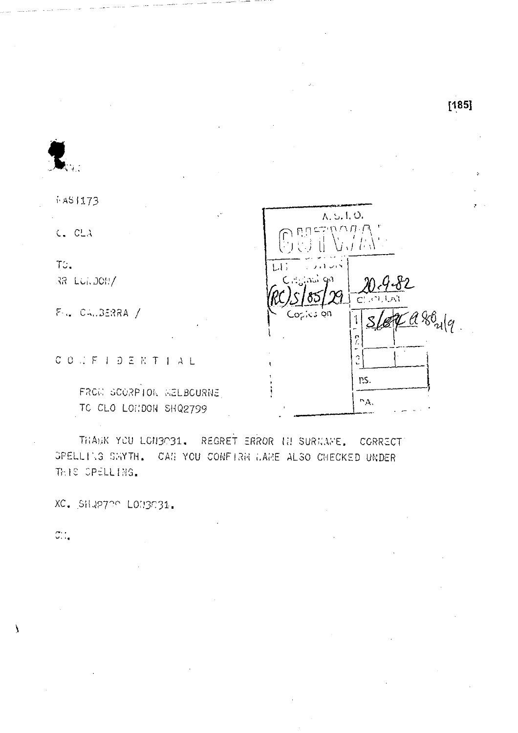$[185]$ 

i AS 1173

 $C$   $CLA$ 

TC. RR LUI. JOH/

 $F = C_{11} 32238A$  /

 $C\cup C\cup F\cup D\subseteq K\mid T\mid A\mid L$ 

FROM SCORPTON WELBOURNE TO CLO LONDON SHQ2799

A.S.I.O.  $CTNNT$  $\mathbf{1}$ Copies on  $Zd80_{u|q}$  $\frac{2}{5}$  $\hat{a}$ ns.  $\Gamma_{\rm AA}$ 

THANK YOU LONGOG1. REGRET ERROR IN SURNAME, CORRECT SPELLING SWYTH. CAN YOU CONFIRM WAME ALSO CHECKED UNDER THIS OPELLING.

XC. SHUP700 LON3031.

 $\overline{\mathcal{O}}_{\mathcal{A},\mathcal{C}}$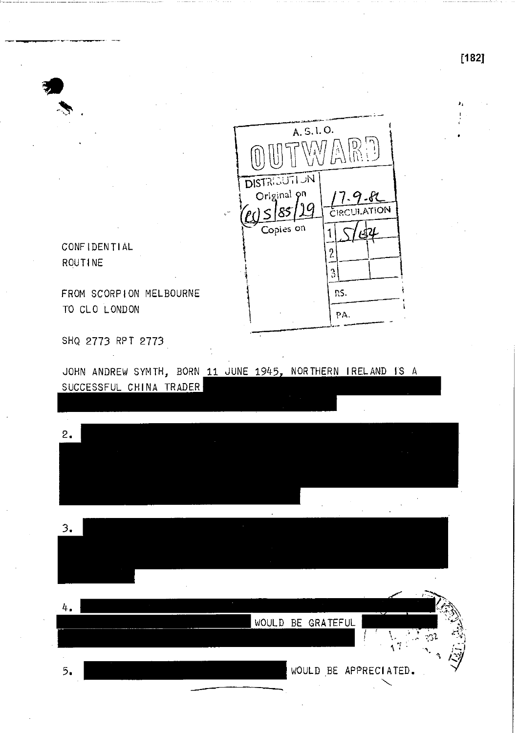

CONFIDENTIAL ROUTINE

SHQ 2773 RPT 2773

JOHN ANDREW SYMTH, BORN 11 JUNE 1945, NORTHERN IRELAND IS A SUCCESSFUL CHINA TRADER

 $2.$ 

3 .

4. WOULD BE GRATEFUL WOULD BE APPRECIATED. 5 .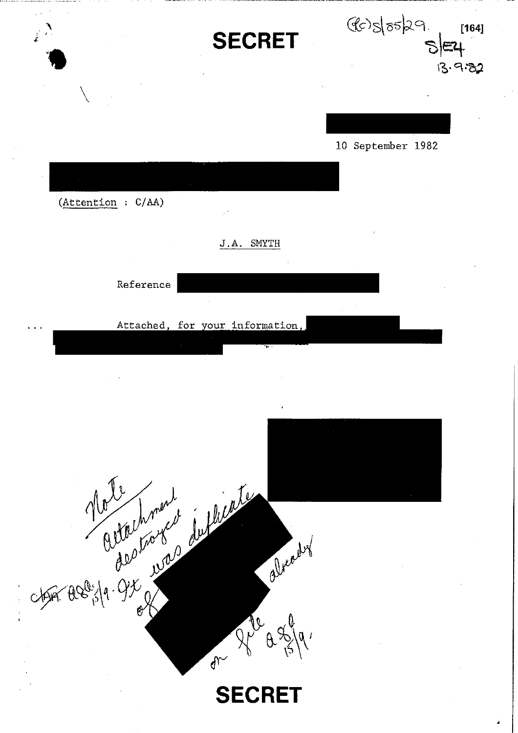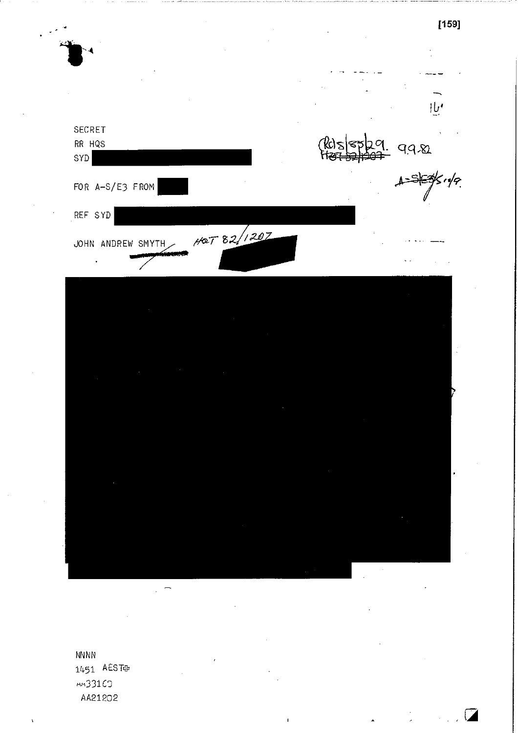$[159]$  $\bigcup$ SECRET RR HQS K)  $992$ SYD  $\zeta$ r/q FOR A-S/E3 FROM REF SYD HOT 82/1207 JOHN ANDREW SMYTH  $\ddot{\phantom{0}}$ 

**NNNN** 1451 AEST  $m331C$ AA21202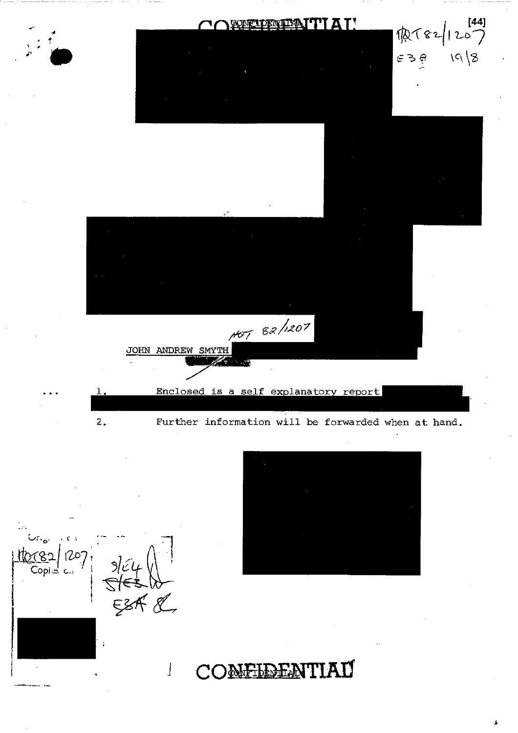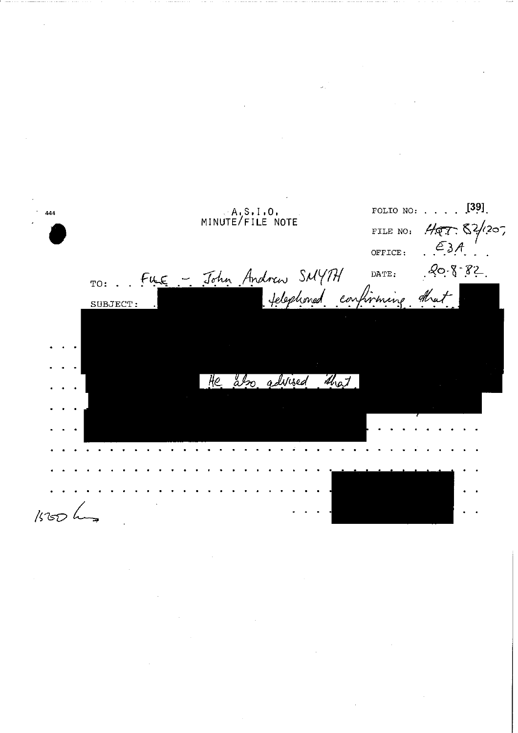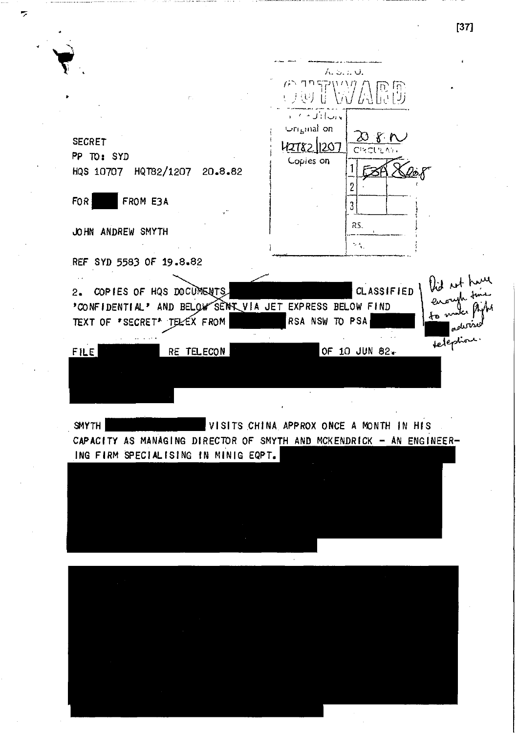**[37]** A.  $\mu$ ר ק $\eta$ **R.B.** (三) 王于 ,ب∤:ُل≁ ← ، Uri<sub>n</sub>inal on  $\varnothing$  fr **SECRET**  12782.11207 Chrotrewy **PP TO: SYD**  Lopies on 1 **HQS 10707 HQT82/1207 20.8.82**  2 FOR **FROM E3A** 3 RS. **JOHN ANDREW SMYTH**   $\mathcal{A}_\mathrm{A}$ **REF SYD 5583 OF 19.8.82**  lid ut hum  $\sim$ 2. COPIES OF HQS DOCUMENTS **CLASSIFIED** 'CONFIDENTIAL' AND BELOW SENT VIA JET EXPRESS BELOW FIND TEXT OF 'SECRET' TELEX FROM RSA NSW TO PSA teleption. **FILE RE TELECON <b>CONTACT ACCEPT RE** TELECON **CONTACT RE** SMYTH VISITS CHINA APPROX ONCE A MONTH IN HIS CAPACITY AS MANAGING DIRECTOR OF SMYTH AND MCKENDRICK - AN ENGINEER-**ING FIRM SPECIALISING IN MINIG EQPT.** 

 $\overline{\phantom{a}}$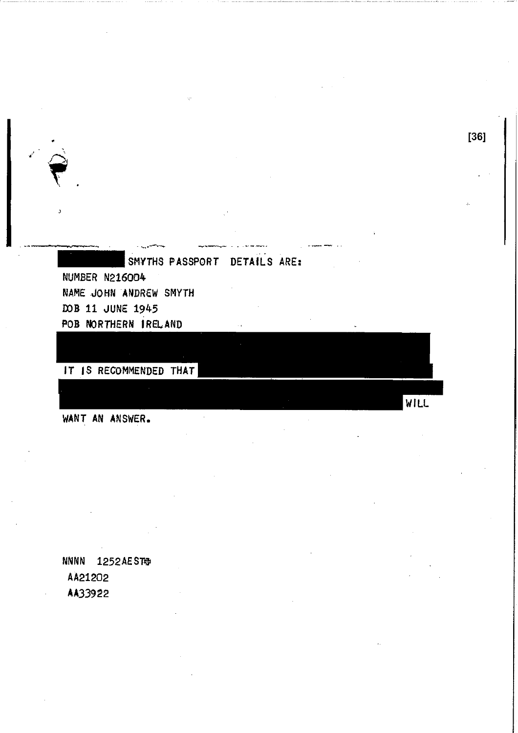SMYTHS PASSPORT DETAILS ARE: NUMBER N216004 NAME JOHN ANDREW SMYTH DDB 11 JUNE 1945 POB NORTHERN IRELAND

[36]

WILL

IT IS RECOMMENDED THAT

WANT AN ANSWER.

•  $\hat{\mathbf{S}}$ 

> NNNN 1252AEST AA21202 AA33922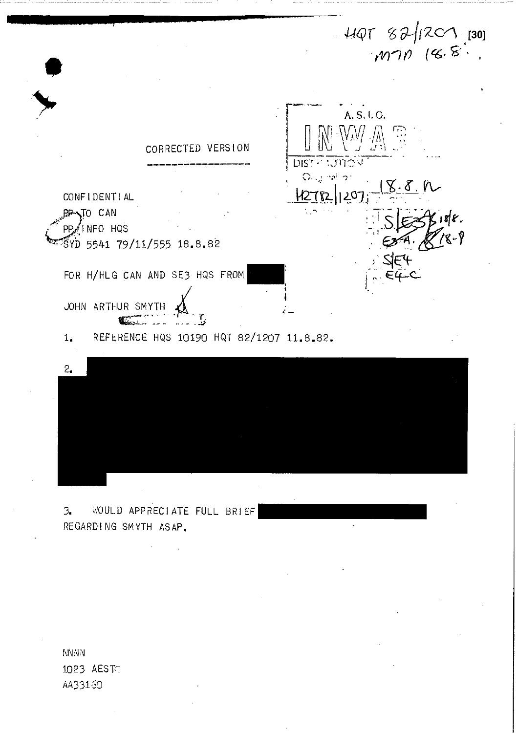$440782/1207.$  [30]



NNNN 1023 AEST: AA33150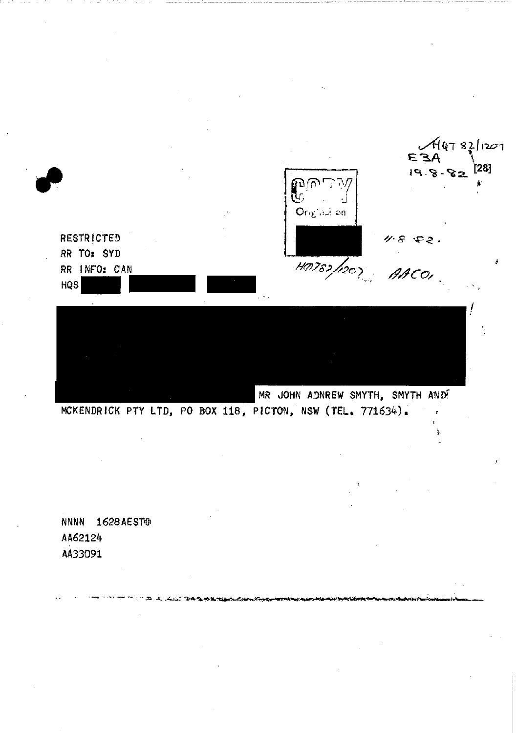$4497821207$ **AE3** [28]  $19.8.82$ டுர்<br>மு Original an 11-8 52.<br>ANCOI **RESTRICTED** RR TO: SYD HO782/1207 RR INFO: CAN  $HQS$ MR JOHN ADNREW SMYTH, SMYTH AND! MCKENDRICK PTY LTD, PO BOX 118, PICTON, NSW (TEL. 771634).

NNNN 1628 AESTEM AA62124 AA33091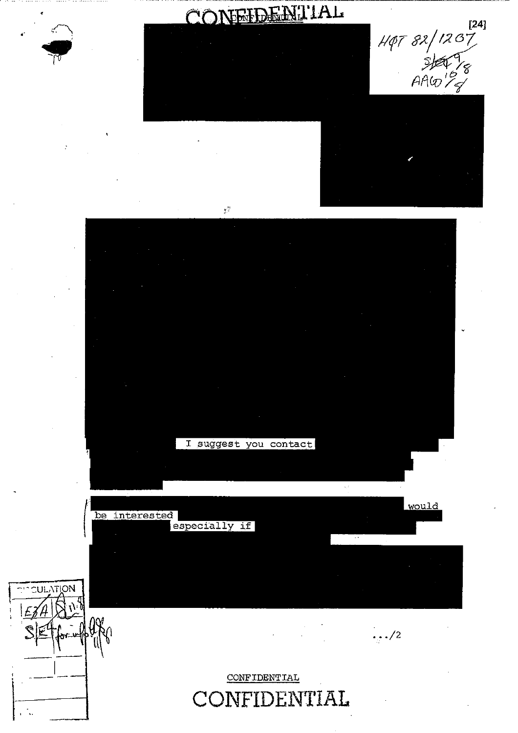





CONFIDENTIAL

 $\leq$ 

 $H\phi T 82/1207$ <br>  $H\phi T 82/1207$ <br>  $H\phi T$ <br>  $H\phi T$ <br>  $H\phi T$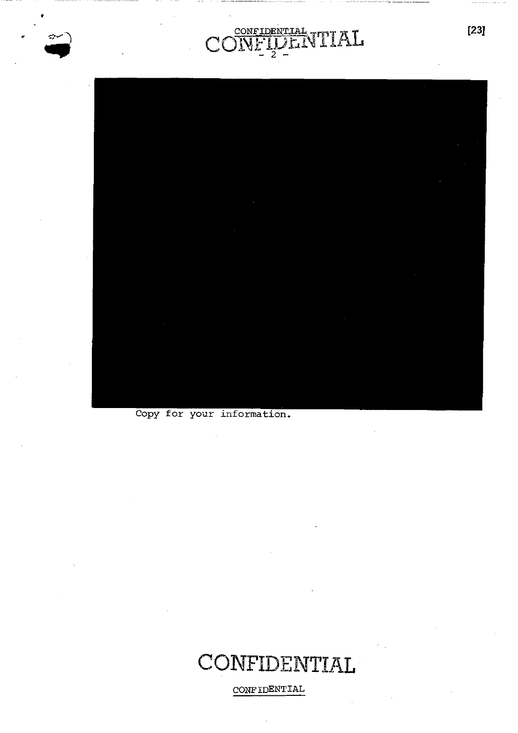$\widehat{\phantom{a}}$ 



CONFIDENTIAL

 $\mathcal{C}^{\prime}$ 

 $\lambda$ <sub>r</sub>

VTIAL

Copy for your information.

### CONFIDENTIAL

CONFIDENTIAL

 $[23]$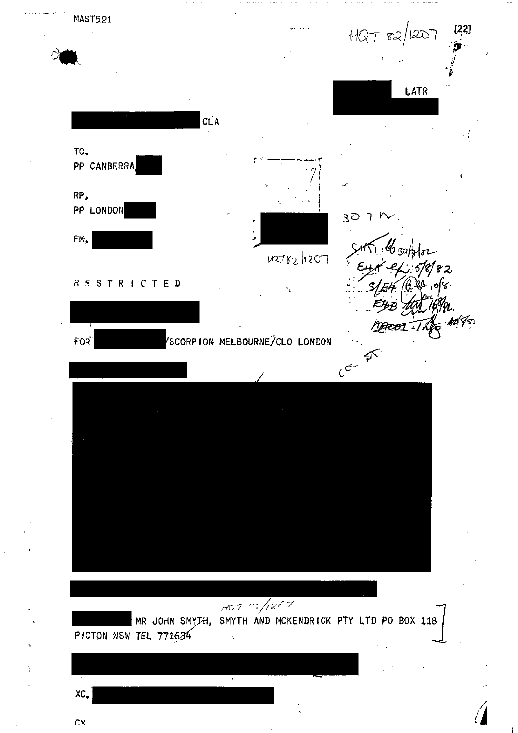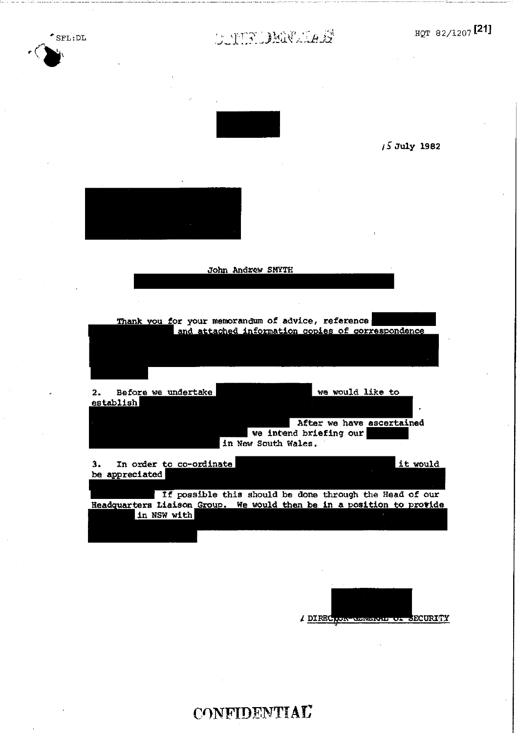E **July 1982** 

# $\text{SFL:DL}$   $\text{HQT 82/1207}$  [21]

**John Andrew SMYTH** 

**Thank ou for your memorandum of advice, reference**  and attached information copies of correspondence

Before we undertake **we would like to**   $2.$ establish **After we have ascertained we intend briefing our** 

**3. In order to co-ordinate be appreciated it would in New South Wales.** 

**If possible this should be done through the Head of our Readquarters Liaison Group. We would then be in a position to provide in NSW with** 

**DIRE ECURIT.Y** 

**CONFIDENTIAL**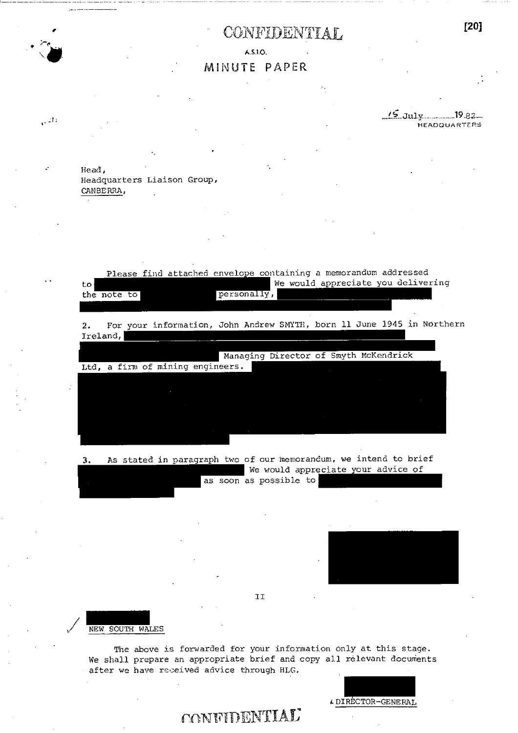### CONFIDENTIAL **[20]**

AS JO.

#### MINUTE PAPER

 $\frac{15}{101}$  July 19.82. **HEADQUARTERS** 

Head, Headquarters Liaison Group, CANBERRA,

410.

 $\sqrt{2\Omega}$ 

Ltd, a firm of mining engineers. Managing Director of Smyth McKendrick Please find attached envelope containing a memorandum addressed to We would appreciate you delivering the note to personally, 2. For your information, John Andrew SMYTH, born 11 June 1945 in Northern Ireland,

3. As stated in paragraph two of our memorandum, we intend to brief We would appreciate your advice of as soon as possible to

II

NEW SOUTH WALES

The above is forwarded for your information only at this stage. We shall prepare an appropriate brief and copy all relevant documents after we have received advice through HLG.

4- DIRECTOR-GENERAL

### **CONFIDENTIAL**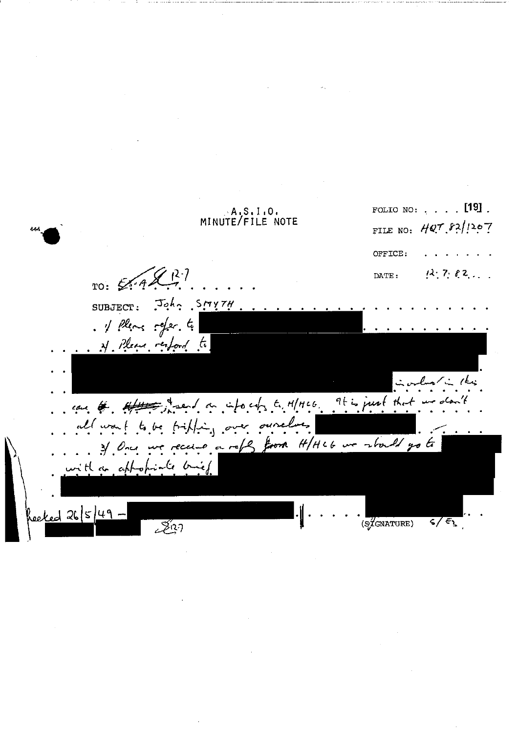FOLIO NO: . . . . [19].  $A, S, I, 0$ MINUTE/FILE NOTE FILE NO: HQ7.82/1207 OFFICE:  $Z + 2 - 7$  $12.782...$  $TO: EAA$ DATE:  $J_0 h_2$  SMYTH SUBJECT: . 1 Pleas refer. to N. Please respond to نے رائیز can be effectived an info cat, to MH166. It is just that we don't to be fifting over ourclus all want re receive a refly from H/HLG we should go to  $3/0$ nce with a appropriate bie  $k$ ed 26/5/49.  $\sqrt{\frac{2}{3}}$ GNATURE)  $\sqrt{\epsilon}$ 327ع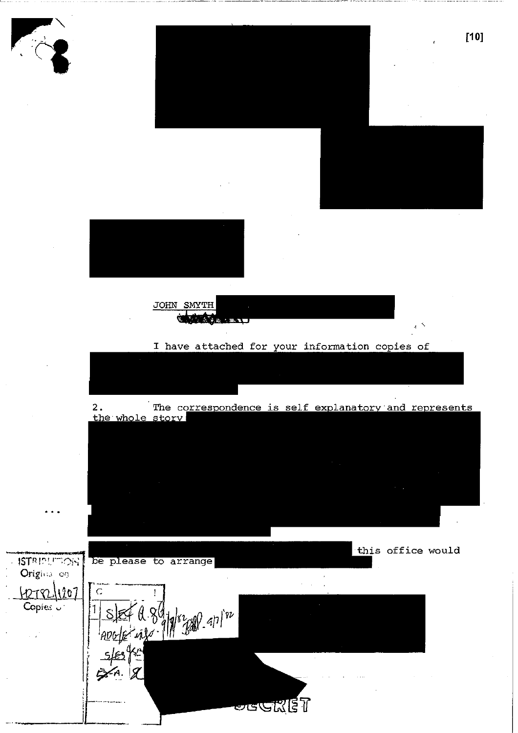

2. The correspondence is self explanatory and represents the whole story

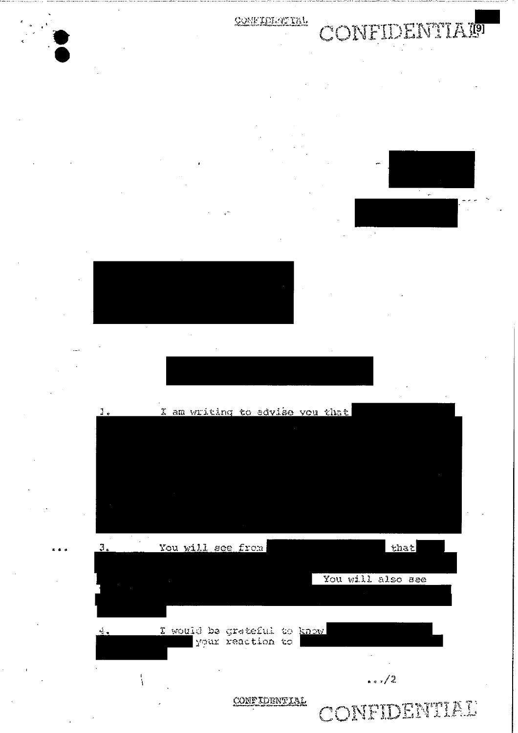COMFIDEREIRL

# **CONFIDENTIATO**







 $\mathbf{I}$ .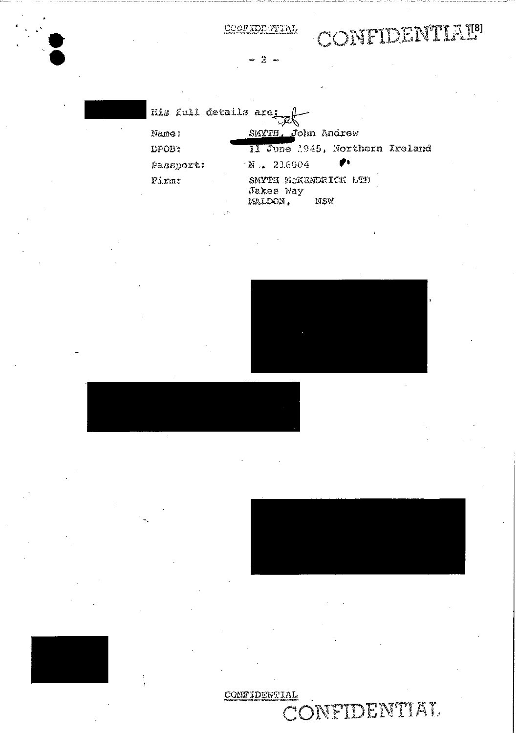COOFIDENTIAL

# CONFIDENTIALS

 $2 -$ 

| His full details are: |                                                     |
|-----------------------|-----------------------------------------------------|
| Name:                 | SMYTH. John Andrew                                  |
| DFOB:                 | II June 1945, Northorn Ireland                      |
| Passport:             | ₽₩<br>$X = 216004$                                  |
| Firms                 | SMYTH MCKENDRICK LTD<br>Jakes Way<br>MALDON.<br>NSW |
|                       |                                                     |

CONFIDENTIAL CONFIDENTIAL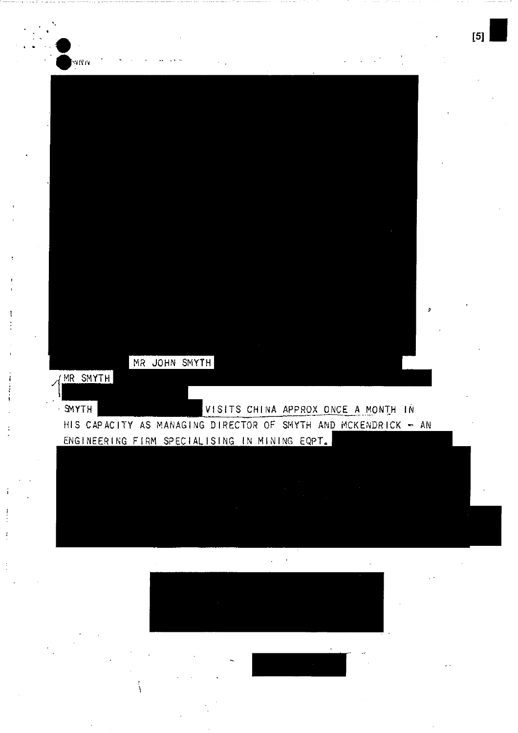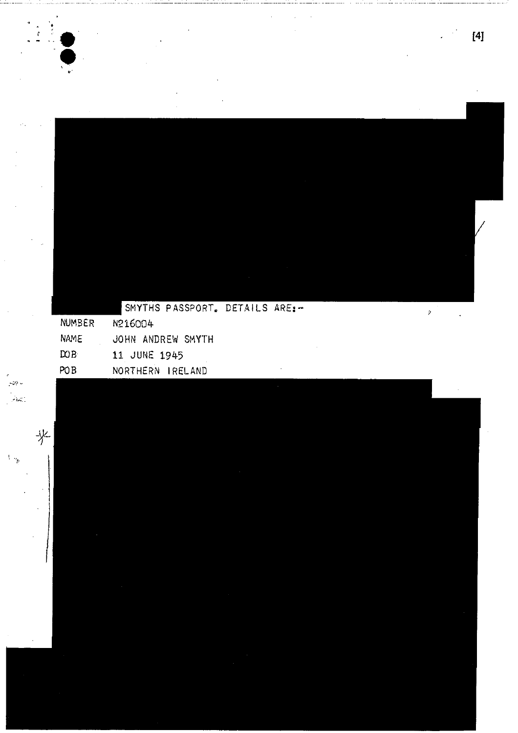$[4]$ 

l,

 $\mathbf{A}$ 

|                | SMITHS PASSPORT. DETAILS AREIT |  |  |
|----------------|--------------------------------|--|--|
| NUMBER         | N216004                        |  |  |
| <b>NAME</b>    | JOHN ANDREW SMYTH              |  |  |
| $\mathbb{R}^n$ | 11 JUNE 1945                   |  |  |
| POB            | NORTHERN IRELAND               |  |  |

 $\sim$   $\sim$ والمناسبة ž,

 $\lambda$  AAM A  $\lambda$ 

تعادل ومعدورة

 $\frac{1}{2}$  ,  $\frac{1}{2}$  $\sim$   $\sim$ 

 $\frac{1}{2}$ 

**y**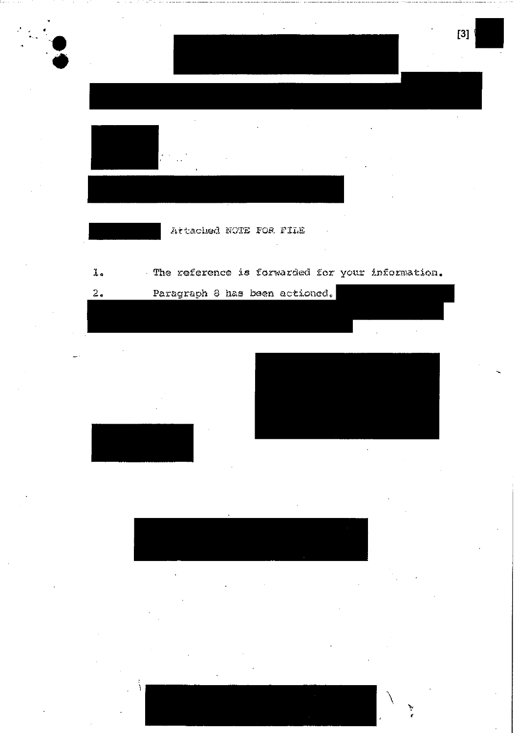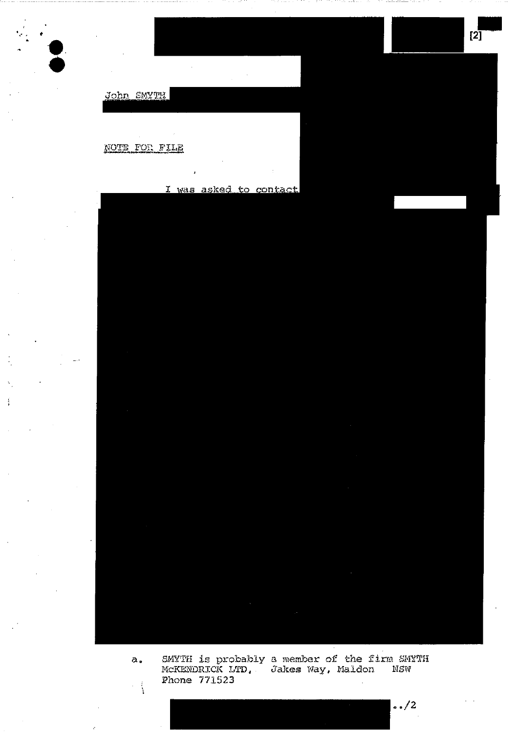John SMYTH

NOTE FOR FILE

I was asked to contact

 $[2]$ 

SMYTH is probably a member of the firm SMYTH<br>McKENDRICK LTD, Jakes Way, Maldon NSW<br>Phone 771523  $\alpha$ .  $\frac{1}{\sqrt{2}}$ 

 $.72$